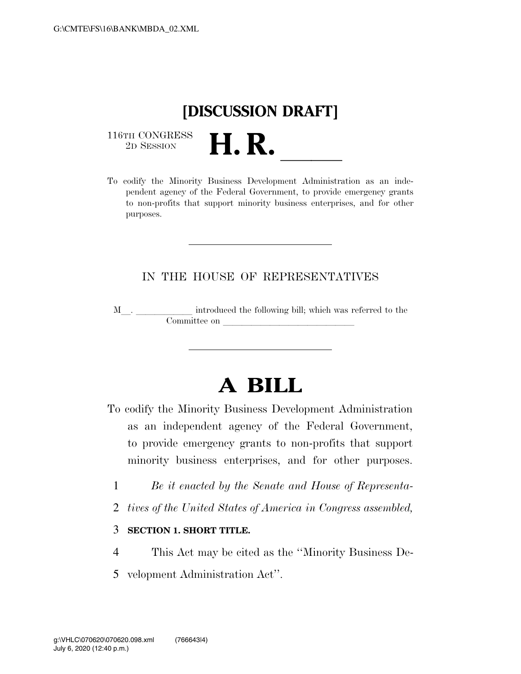## **[DISCUSSION DRAFT]**

116TH CONGRESS<br>2D SESSION



## IN THE HOUSE OF REPRESENTATIVES

M<sub>\_\_\_</sub>. \_\_\_\_\_\_\_\_\_\_\_\_\_ introduced the following bill; which was referred to the  ${\bf Committee \ on \ \_\_}$ 

## **A BILL**

To codify the Minority Business Development Administration as an independent agency of the Federal Government, to provide emergency grants to non-profits that support minority business enterprises, and for other purposes.

- 1 *Be it enacted by the Senate and House of Representa-*
- 2 *tives of the United States of America in Congress assembled,*

## 3 **SECTION 1. SHORT TITLE.**

- 4 This Act may be cited as the ''Minority Business De-
- 5 velopment Administration Act''.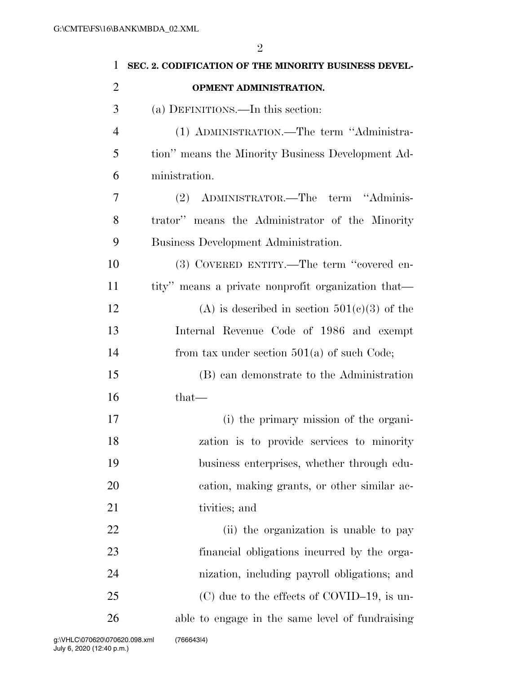| $\mathbf{1}$   | SEC. 2. CODIFICATION OF THE MINORITY BUSINESS DEVEL- |
|----------------|------------------------------------------------------|
| $\overline{2}$ | OPMENT ADMINISTRATION.                               |
| 3              | (a) DEFINITIONS.—In this section:                    |
| $\overline{4}$ | (1) ADMINISTRATION.—The term "Administra-            |
| 5              | tion" means the Minority Business Development Ad-    |
| 6              | ministration.                                        |
| 7              | (2) ADMINISTRATOR.—The term "Adminis-                |
| 8              | trator" means the Administrator of the Minority      |
| 9              | Business Development Administration.                 |
| 10             | (3) COVERED ENTITY.—The term "covered en-            |
| 11             | tity" means a private nonprofit organization that—   |
| 12             | (A) is described in section $501(c)(3)$ of the       |
| 13             | Internal Revenue Code of 1986 and exempt             |
| 14             | from tax under section $501(a)$ of such Code;        |
| 15             | (B) can demonstrate to the Administration            |
| 16             | $that-$                                              |
| 17             | (i) the primary mission of the organi-               |
| 18             | zation is to provide services to minority            |
| 19             | business enterprises, whether through edu-           |
| 20             | cation, making grants, or other similar ac-          |
| 21             | tivities; and                                        |
| 22             | (ii) the organization is unable to pay               |
| 23             | financial obligations incurred by the orga-          |
| 24             | nization, including payroll obligations; and         |
| 25             | $(C)$ due to the effects of COVID-19, is un-         |
| 26             | able to engage in the same level of fundraising      |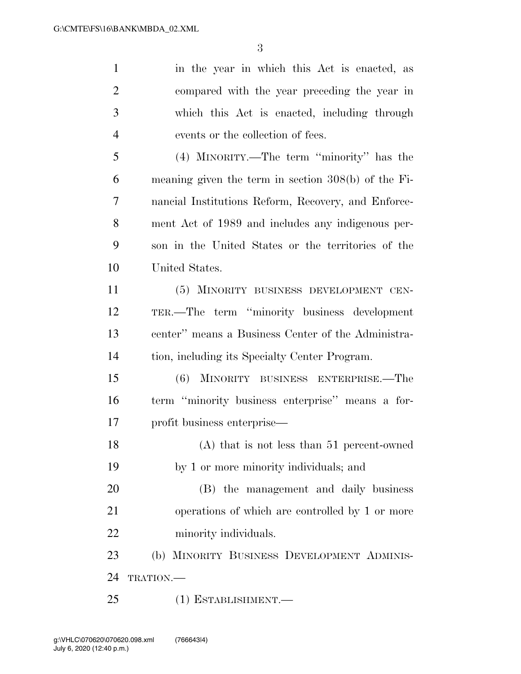in the year in which this Act is enacted, as compared with the year preceding the year in which this Act is enacted, including through events or the collection of fees. (4) MINORITY.—The term ''minority'' has the meaning given the term in section 308(b) of the Fi- nancial Institutions Reform, Recovery, and Enforce- ment Act of 1989 and includes any indigenous per- son in the United States or the territories of the United States. (5) MINORITY BUSINESS DEVELOPMENT CEN- TER.—The term ''minority business development center'' means a Business Center of the Administra- tion, including its Specialty Center Program. (6) MINORITY BUSINESS ENTERPRISE.—The term ''minority business enterprise'' means a for- profit business enterprise— (A) that is not less than 51 percent-owned by 1 or more minority individuals; and (B) the management and daily business operations of which are controlled by 1 or more 22 minority individuals. (b) MINORITY BUSINESS DEVELOPMENT ADMINIS-24 TRATION. (1) ESTABLISHMENT.—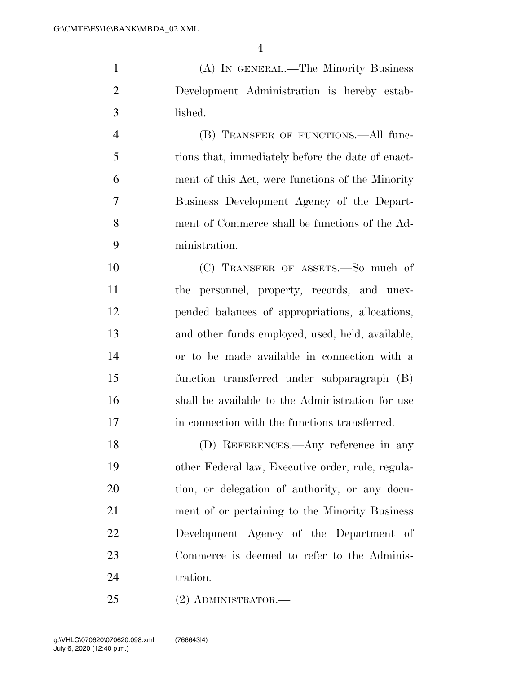(A) IN GENERAL.—The Minority Business Development Administration is hereby estab-lished.

 (B) TRANSFER OF FUNCTIONS.—All func- tions that, immediately before the date of enact- ment of this Act, were functions of the Minority Business Development Agency of the Depart- ment of Commerce shall be functions of the Ad-ministration.

 (C) TRANSFER OF ASSETS.—So much of the personnel, property, records, and unex- pended balances of appropriations, allocations, and other funds employed, used, held, available, or to be made available in connection with a function transferred under subparagraph (B) shall be available to the Administration for use in connection with the functions transferred.

 (D) REFERENCES.—Any reference in any other Federal law, Executive order, rule, regula- tion, or delegation of authority, or any docu- ment of or pertaining to the Minority Business Development Agency of the Department of Commerce is deemed to refer to the Adminis-24 tration.

(2) ADMINISTRATOR.—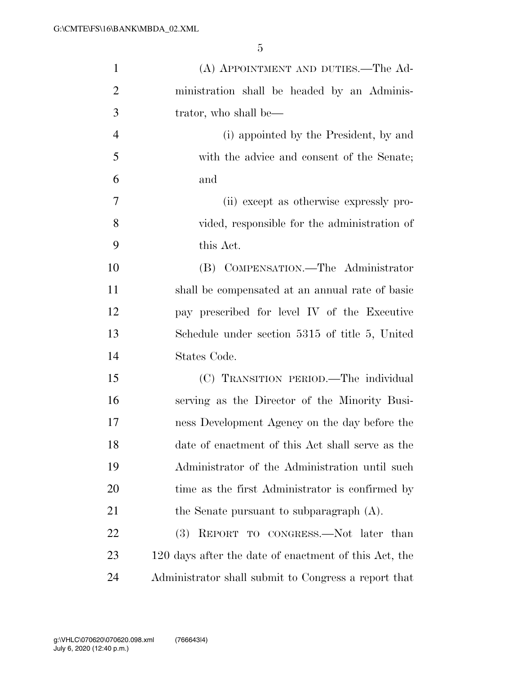| $\mathbf{1}$   | (A) APPOINTMENT AND DUTIES.—The Ad-                   |
|----------------|-------------------------------------------------------|
| $\overline{2}$ | ministration shall be headed by an Adminis-           |
| 3              | trator, who shall be—                                 |
| $\overline{4}$ | (i) appointed by the President, by and                |
| 5              | with the advice and consent of the Senate;            |
| 6              | and                                                   |
| 7              | (ii) except as otherwise expressly pro-               |
| 8              | vided, responsible for the administration of          |
| 9              | this Act.                                             |
| 10             | (B) COMPENSATION.—The Administrator                   |
| 11             | shall be compensated at an annual rate of basic       |
| 12             | pay prescribed for level IV of the Executive          |
| 13             | Schedule under section 5315 of title 5, United        |
| 14             | States Code.                                          |
| 15             | (C) TRANSITION PERIOD.—The individual                 |
| 16             | serving as the Director of the Minority Busi-         |
| 17             | ness Development Agency on the day before the         |
| 18             | date of enactment of this Act shall serve as the      |
| 19             | Administrator of the Administration until such        |
| 20             | time as the first Administrator is confirmed by       |
| 21             | the Senate pursuant to subparagraph $(A)$ .           |
| 22             | REPORT TO CONGRESS.-Not later than<br>(3)             |
| 23             | 120 days after the date of enactment of this Act, the |
| 24             | Administrator shall submit to Congress a report that  |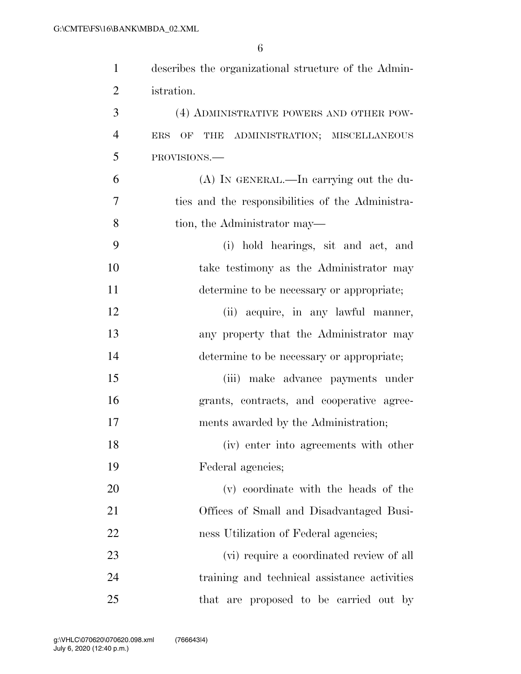| $\mathbf{1}$   | describes the organizational structure of the Admin- |
|----------------|------------------------------------------------------|
| $\overline{2}$ | istration.                                           |
| 3              | (4) ADMINISTRATIVE POWERS AND OTHER POW-             |
| $\overline{4}$ | OF THE ADMINISTRATION; MISCELLANEOUS<br><b>ERS</b>   |
| 5              | PROVISIONS.-                                         |
| 6              | (A) IN GENERAL.—In carrying out the du-              |
| 7              | ties and the responsibilities of the Administra-     |
| 8              | tion, the Administrator may—                         |
| 9              | (i) hold hearings, sit and act, and                  |
| 10             | take testimony as the Administrator may              |
| 11             | determine to be necessary or appropriate;            |
| 12             | (ii) acquire, in any lawful manner,                  |
| 13             | any property that the Administrator may              |
| 14             | determine to be necessary or appropriate;            |
| 15             | (iii) make advance payments under                    |
| 16             | grants, contracts, and cooperative agree-            |
| 17             | ments awarded by the Administration;                 |
| 18             | (iv) enter into agreements with other                |
| 19             | Federal agencies;                                    |
| 20             | (v) coordinate with the heads of the                 |
| 21             | Offices of Small and Disadvantaged Busi-             |
| 22             | ness Utilization of Federal agencies;                |
| 23             | (vi) require a coordinated review of all             |
| 24             | training and technical assistance activities         |
| 25             | that are proposed to be carried out by               |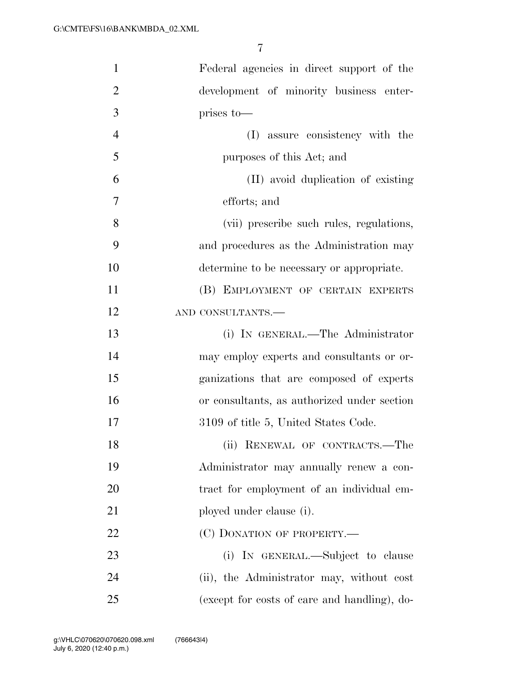| $\mathbf{1}$   | Federal agencies in direct support of the    |
|----------------|----------------------------------------------|
| $\overline{2}$ | development of minority business enter-      |
| 3              | prises to-                                   |
| $\overline{4}$ | (I) assure consistency with the              |
| 5              | purposes of this Act; and                    |
| 6              | (II) avoid duplication of existing           |
| 7              | efforts; and                                 |
| 8              | (vii) prescribe such rules, regulations,     |
| 9              | and procedures as the Administration may     |
| 10             | determine to be necessary or appropriate.    |
| 11             | (B) EMPLOYMENT OF CERTAIN EXPERTS            |
| 12             | AND CONSULTANTS.-                            |
| 13             | (i) IN GENERAL.—The Administrator            |
| 14             | may employ experts and consultants or or-    |
| 15             | ganizations that are composed of experts     |
| 16             | or consultants, as authorized under section  |
| 17             | 3109 of title 5, United States Code.         |
| 18             | (ii) RENEWAL OF CONTRACTS.-The               |
| 19             | Administrator may annually renew a con-      |
| 20             | tract for employment of an individual em-    |
| 21             | ployed under clause (i).                     |
| 22             | (C) DONATION OF PROPERTY.—                   |
| 23             | (i) IN GENERAL.—Subject to clause            |
| 24             | (ii), the Administrator may, without cost    |
| 25             | (except for costs of care and handling), do- |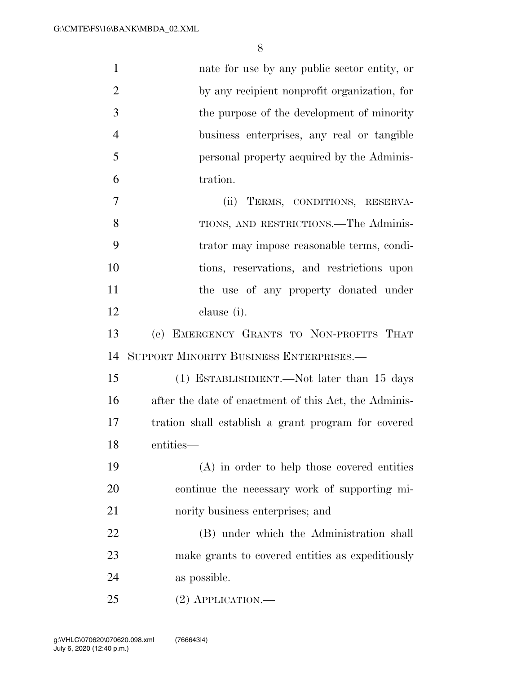| $\mathbf{1}$   | nate for use by any public sector entity, or          |
|----------------|-------------------------------------------------------|
| $\overline{2}$ | by any recipient nonprofit organization, for          |
| 3              | the purpose of the development of minority            |
| $\overline{4}$ | business enterprises, any real or tangible            |
| 5              | personal property acquired by the Adminis-            |
| 6              | tration.                                              |
| $\overline{7}$ | (ii) TERMS, CONDITIONS, RESERVA-                      |
| 8              | TIONS, AND RESTRICTIONS.—The Adminis-                 |
| 9              | trator may impose reasonable terms, condi-            |
| 10             | tions, reservations, and restrictions upon            |
| 11             | the use of any property donated under                 |
| 12             | clause (i).                                           |
| 13             | (c) EMERGENCY GRANTS TO NON-PROFITS THAT              |
| 14             | SUPPORT MINORITY BUSINESS ENTERPRISES.-               |
| 15             | (1) ESTABLISHMENT.—Not later than 15 days             |
| 16             | after the date of enactment of this Act, the Adminis- |
| 17             | tration shall establish a grant program for covered   |
| 18             | entities—                                             |
| 19             | $(A)$ in order to help those covered entities         |
| 20             | continue the necessary work of supporting mi-         |
| 21             | nority business enterprises; and                      |
| 22             | (B) under which the Administration shall              |
| 23             | make grants to covered entities as expeditiously      |
| 24             | as possible.                                          |
| 25             | $(2)$ APPLICATION.—                                   |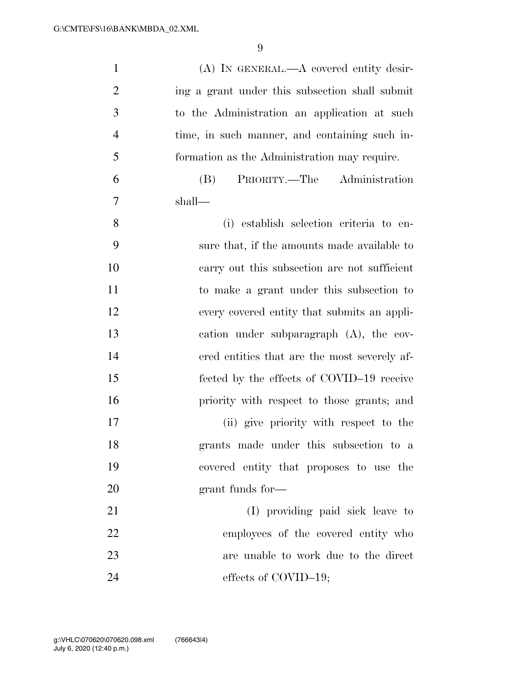| $\mathbf{1}$   | $(A)$ In GENERAL.— $A$ covered entity desir-   |
|----------------|------------------------------------------------|
| $\overline{2}$ | ing a grant under this subsection shall submit |
| 3              | to the Administration an application at such   |
| $\overline{4}$ | time, in such manner, and containing such in-  |
| 5              | formation as the Administration may require.   |
| 6              | PRIORITY.—The Administration<br>(B)            |
| $\overline{7}$ | shall—                                         |
| 8              | (i) establish selection criteria to en-        |
| 9              | sure that, if the amounts made available to    |
| 10             | carry out this subsection are not sufficient   |
| 11             | to make a grant under this subsection to       |
| 12             | every covered entity that submits an appli-    |
| 13             | cation under subparagraph $(A)$ , the cov-     |
| 14             | ered entities that are the most severely af-   |
| 15             | fected by the effects of COVID-19 receive      |
| 16             | priority with respect to those grants; and     |
| 17             | (ii) give priority with respect to the         |
| 18             | grants made under this subsection to a         |
| 19             | covered entity that proposes to use the        |
| 20             | grant funds for-                               |
| 21             | (I) providing paid sick leave to               |
| 22             | employees of the covered entity who            |
| 23             | are unable to work due to the direct           |
| 24             | effects of COVID-19;                           |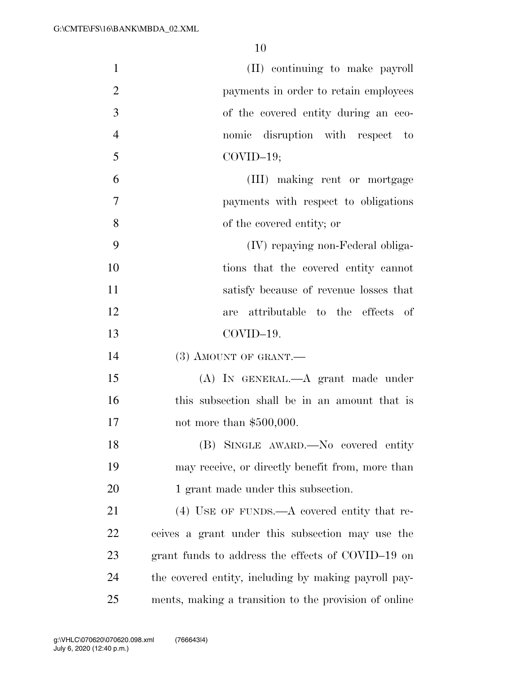| $\mathbf{1}$   | (II) continuing to make payroll                       |
|----------------|-------------------------------------------------------|
| $\overline{2}$ | payments in order to retain employees                 |
| 3              | of the covered entity during an eco-                  |
| $\overline{4}$ | nomic disruption with respect to                      |
| 5              | $COVID-19;$                                           |
| 6              | (III) making rent or mortgage                         |
| $\overline{7}$ | payments with respect to obligations                  |
| 8              | of the covered entity; or                             |
| 9              | (IV) repaying non-Federal obliga-                     |
| 10             | tions that the covered entity cannot                  |
| 11             | satisfy because of revenue losses that                |
| 12             | attributable to the effects of<br>are                 |
| 13             | COVID-19.                                             |
| 14             | $(3)$ AMOUNT OF GRANT.—                               |
| 15             | (A) IN GENERAL.—A grant made under                    |
| 16             | this subsection shall be in an amount that is         |
| 17             | not more than $$500,000$ .                            |
| 18             | (B) SINGLE AWARD. No covered entity                   |
| 19             | may receive, or directly benefit from, more than      |
| 20             | 1 grant made under this subsection.                   |
| 21             | $(4)$ USE OF FUNDS.—A covered entity that re-         |
| 22             | ceives a grant under this subsection may use the      |
| 23             | grant funds to address the effects of COVID-19 on     |
| 24             | the covered entity, including by making payroll pay-  |
| 25             | ments, making a transition to the provision of online |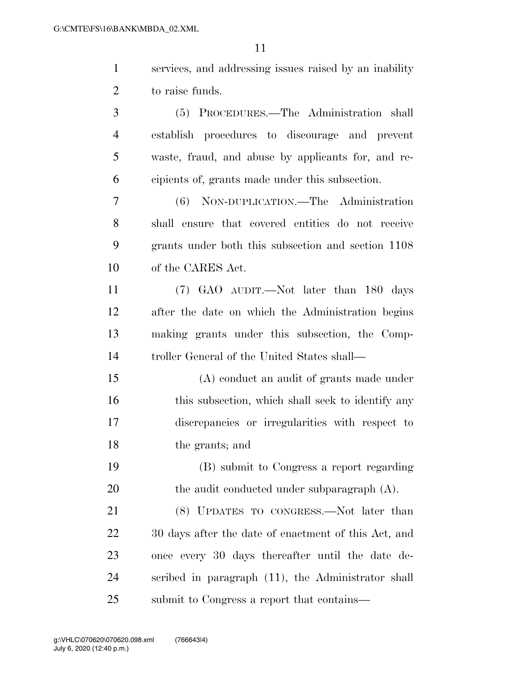| $\mathbf{1}$   | services, and addressing issues raised by an inability |
|----------------|--------------------------------------------------------|
| $\overline{2}$ | to raise funds.                                        |
| 3              | (5) PROCEDURES.—The Administration shall               |
| $\overline{4}$ | establish procedures to discourage and prevent         |
| 5              | waste, fraud, and abuse by applicants for, and re-     |
| 6              | cipients of, grants made under this subsection.        |
| 7              | (6) NON-DUPLICATION.—The Administration                |
| 8              | shall ensure that covered entities do not receive      |
| 9              | grants under both this subsection and section 1108     |
| 10             | of the CARES Act.                                      |
| 11             | (7) GAO AUDIT.—Not later than 180 days                 |
| 12             | after the date on which the Administration begins      |
| 13             | making grants under this subsection, the Comp-         |
| 14             | troller General of the United States shall—            |
| 15             | (A) conduct an audit of grants made under              |
| 16             | this subsection, which shall seek to identify any      |
| 17             | discrepancies or irregularities with respect to        |
| 18             | the grants; and                                        |
| 19             | (B) submit to Congress a report regarding              |
| 20             | the audit conducted under subparagraph $(A)$ .         |
| 21             | (8) UPDATES TO CONGRESS.—Not later than                |
| 22             | 30 days after the date of enactment of this Act, and   |
| 23             | once every 30 days thereafter until the date de-       |
| 24             | scribed in paragraph (11), the Administrator shall     |
| 25             | submit to Congress a report that contains—             |
|                |                                                        |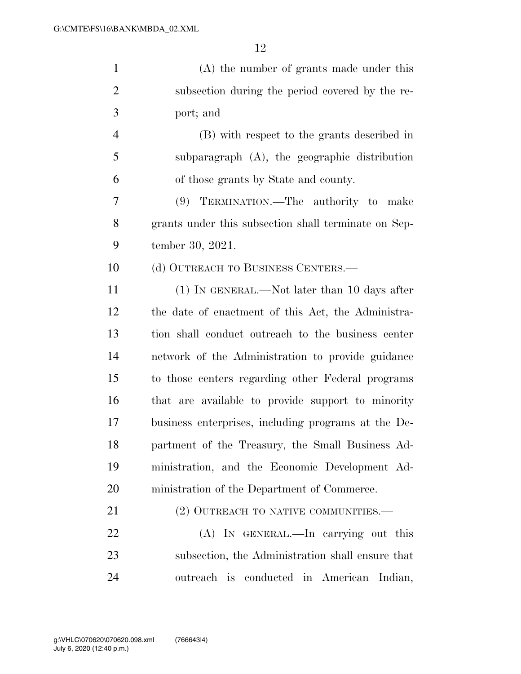| $\mathbf{1}$   | (A) the number of grants made under this             |
|----------------|------------------------------------------------------|
| $\overline{2}$ | subsection during the period covered by the re-      |
| 3              | port; and                                            |
| $\overline{4}$ | (B) with respect to the grants described in          |
| 5              | subparagraph $(A)$ , the geographic distribution     |
| 6              | of those grants by State and county.                 |
| 7              | (9) TERMINATION.—The authority to make               |
| 8              | grants under this subsection shall terminate on Sep- |
| 9              | tember 30, 2021.                                     |
| 10             | (d) OUTREACH TO BUSINESS CENTERS.—                   |
| 11             | (1) IN GENERAL.—Not later than 10 days after         |
| 12             | the date of enactment of this Act, the Administra-   |
| 13             | tion shall conduct outreach to the business center   |
| 14             | network of the Administration to provide guidance    |
| 15             | to those centers regarding other Federal programs    |
| 16             | that are available to provide support to minority    |
| 17             | business enterprises, including programs at the De-  |
| 18             | partment of the Treasury, the Small Business Ad-     |
| 19             | ministration, and the Economic Development Ad-       |
| 20             | ministration of the Department of Commerce.          |
| 21             | (2) OUTREACH TO NATIVE COMMUNITIES.—                 |
| 22             | (A) IN GENERAL.—In carrying out this                 |
| 23             | subsection, the Administration shall ensure that     |
| 24             | outreach is conducted in American<br>Indian,         |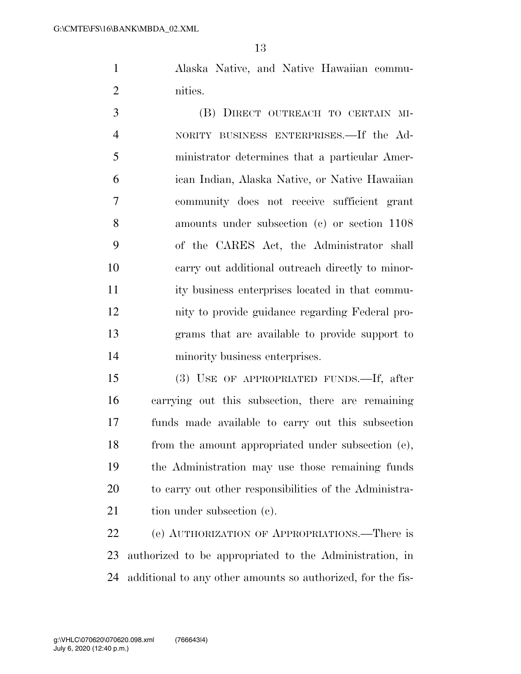Alaska Native, and Native Hawaiian commu-nities.

 (B) DIRECT OUTREACH TO CERTAIN MI- NORITY BUSINESS ENTERPRISES.—If the Ad- ministrator determines that a particular Amer- ican Indian, Alaska Native, or Native Hawaiian community does not receive sufficient grant amounts under subsection (c) or section 1108 of the CARES Act, the Administrator shall carry out additional outreach directly to minor- ity business enterprises located in that commu- nity to provide guidance regarding Federal pro- grams that are available to provide support to minority business enterprises.

 (3) USE OF APPROPRIATED FUNDS.—If, after carrying out this subsection, there are remaining funds made available to carry out this subsection from the amount appropriated under subsection (e), the Administration may use those remaining funds to carry out other responsibilities of the Administra-21 tion under subsection (c).

 (e) AUTHORIZATION OF APPROPRIATIONS.—There is authorized to be appropriated to the Administration, in additional to any other amounts so authorized, for the fis-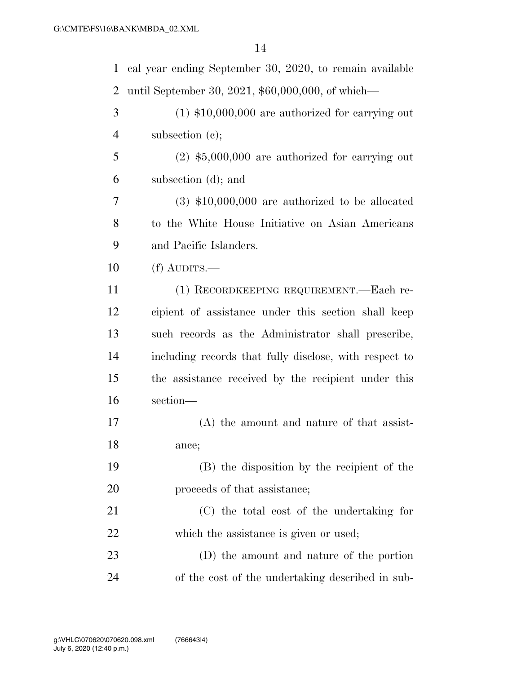| $\mathbf{1}$   | cal year ending September 30, 2020, to remain available |
|----------------|---------------------------------------------------------|
| $\overline{2}$ | until September 30, 2021, \$60,000,000, of which—       |
| 3              | $(1)$ \$10,000,000 are authorized for carrying out      |
| 4              | subsection $(c)$ ;                                      |
| 5              | $(2)$ \$5,000,000 are authorized for carrying out       |
| 6              | subsection (d); and                                     |
| 7              | $(3)$ \$10,000,000 are authorized to be allocated       |
| 8              | to the White House Initiative on Asian Americans        |
| 9              | and Pacific Islanders.                                  |
| 10             | $(f)$ AUDITS.—                                          |
| 11             | (1) RECORDKEEPING REQUIREMENT.—Each re-                 |
| 12             | cipient of assistance under this section shall keep     |
| 13             | such records as the Administrator shall prescribe,      |
| 14             | including records that fully disclose, with respect to  |
| 15             | the assistance received by the recipient under this     |
| 16             | section-                                                |
| 17             | $(A)$ the amount and nature of that assist-             |
| 18             | ance;                                                   |
| 19             | (B) the disposition by the recipient of the             |
| 20             | proceeds of that assistance;                            |
| 21             | (C) the total cost of the undertaking for               |
| 22             | which the assistance is given or used;                  |
| 23             | (D) the amount and nature of the portion                |
| 24             | of the cost of the undertaking described in sub-        |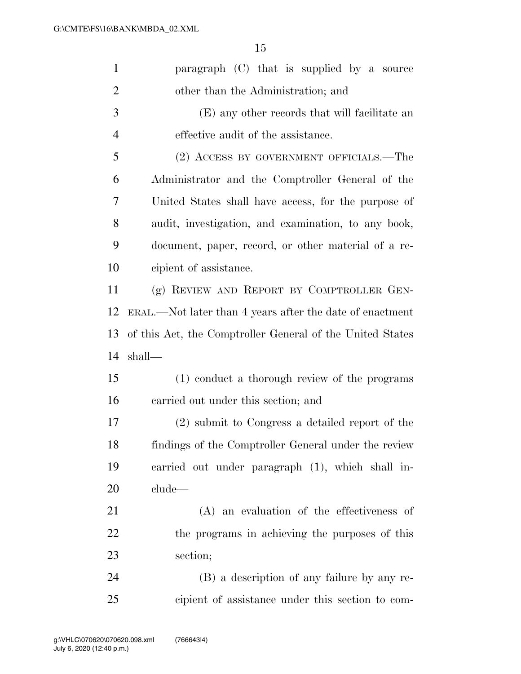| $\mathbf{1}$   | paragraph (C) that is supplied by a source                |
|----------------|-----------------------------------------------------------|
| $\overline{2}$ | other than the Administration; and                        |
| 3              | (E) any other records that will facilitate an             |
| $\overline{4}$ | effective audit of the assistance.                        |
| 5              | (2) ACCESS BY GOVERNMENT OFFICIALS.—The                   |
| 6              | Administrator and the Comptroller General of the          |
| 7              | United States shall have access, for the purpose of       |
| 8              | audit, investigation, and examination, to any book,       |
| 9              | document, paper, record, or other material of a re-       |
| 10             | cipient of assistance.                                    |
| 11             | (g) REVIEW AND REPORT BY COMPTROLLER GEN-                 |
| 12             | ERAL.—Not later than 4 years after the date of enactment  |
| 13             | of this Act, the Comptroller General of the United States |
| 14             | shall—                                                    |
| 15             | (1) conduct a thorough review of the programs             |
| 16             | carried out under this section; and                       |
| 17             | (2) submit to Congress a detailed report of the           |
| 18             | findings of the Comptroller General under the review      |
| 19             | carried out under paragraph (1), which shall in-          |
| 20             | clude                                                     |
| 21             | $(A)$ an evaluation of the effectiveness of               |
| 22             | the programs in achieving the purposes of this            |
| 23             | section;                                                  |
| 24             | (B) a description of any failure by any re-               |
| 25             | cipient of assistance under this section to com-          |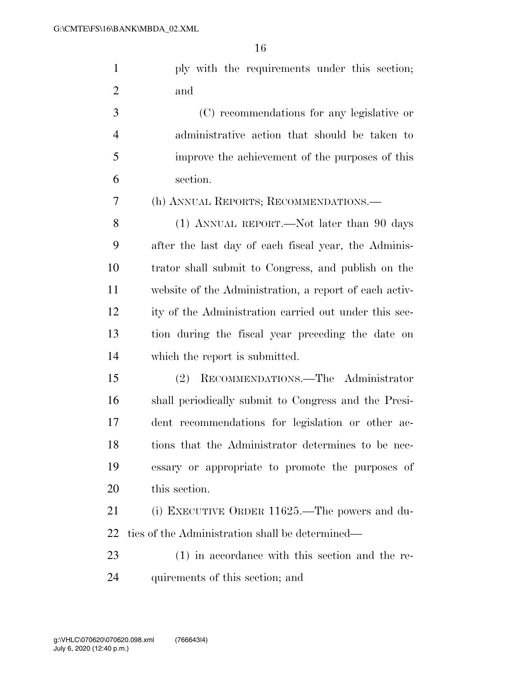|     | ply with the requirements under this section; |  |  |
|-----|-----------------------------------------------|--|--|
| and |                                               |  |  |

 (C) recommendations for any legislative or administrative action that should be taken to improve the achievement of the purposes of this section.

(h) ANNUAL REPORTS; RECOMMENDATIONS.—

8 (1) ANNUAL REPORT.—Not later than 90 days after the last day of each fiscal year, the Adminis- trator shall submit to Congress, and publish on the website of the Administration, a report of each activ- ity of the Administration carried out under this sec- tion during the fiscal year preceding the date on which the report is submitted.

 (2) RECOMMENDATIONS.—The Administrator shall periodically submit to Congress and the Presi- dent recommendations for legislation or other ac- tions that the Administrator determines to be nec- essary or appropriate to promote the purposes of this section.

 (i) EXECUTIVE ORDER 11625.—The powers and du-ties of the Administration shall be determined—

 (1) in accordance with this section and the re-quirements of this section; and